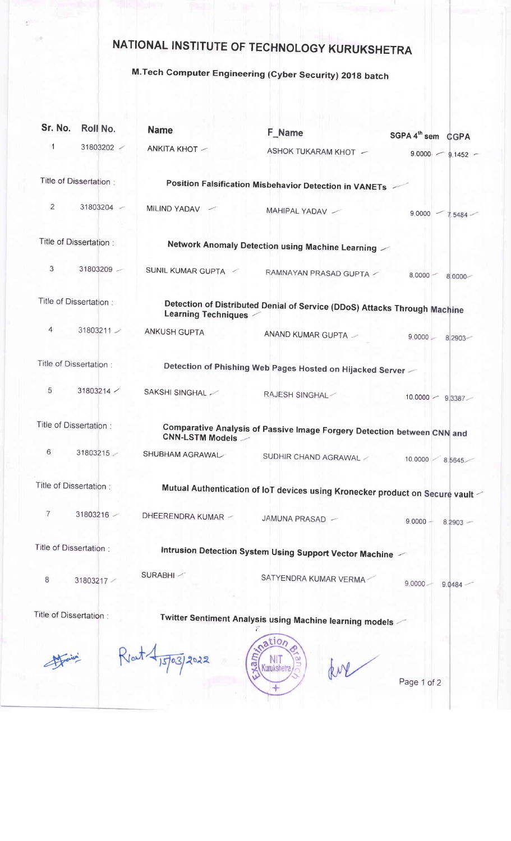## NATIONAL INSTITUTE OF TECHNOLOGY KURUKSHETRA

## M.Tech Computer Engineering (Cyber Security) 2018 batch

| Sr. No.                 | Roll No.                | <b>Name</b>                                                                                      | F Name                                                    | SGPA 4 <sup>th</sup> sem CGPA |  |  |
|-------------------------|-------------------------|--------------------------------------------------------------------------------------------------|-----------------------------------------------------------|-------------------------------|--|--|
| 1                       | 31803202                | ANKITA KHOT -                                                                                    | ASHOK TUKARAM KHOT -                                      | $9.0000 - 9.1452 -$           |  |  |
|                         | Title of Dissertation:  |                                                                                                  | Position Falsification Misbehavior Detection in VANETs    |                               |  |  |
| 2                       | 31803204 -              | MILIND YADAV                                                                                     | MAHIPAL YADAV /                                           | $9,0000$ $-$<br>$7.5484 -$    |  |  |
| Title of Dissertation:  |                         | Network Anomaly Detection using Machine Learning                                                 |                                                           |                               |  |  |
| 3                       | 31803209                | SUNIL KUMAR GUPTA                                                                                | RAMNAYAN PRASAD GUPTA /                                   | $8,0000 -$<br>$8.0000 -$      |  |  |
| Title of Dissertation:  |                         | Detection of Distributed Denial of Service (DDoS) Attacks Through Machine<br>Learning Techniques |                                                           |                               |  |  |
| 4                       | $31803211 -$            | ANKUSH GUPTA                                                                                     | ANAND KUMAR GUPTA -                                       | $9.0000 -$<br>8 2903          |  |  |
|                         | Title of Dissertation : |                                                                                                  | Detection of Phishing Web Pages Hosted on Hijacked Server |                               |  |  |
| 5                       | $31803214$ /            | SAKSHI SINGHAL                                                                                   | RAJESH SINGHAL                                            | $10.0000 - 9.3387 -$          |  |  |
| Title of Dissertation : |                         | Comparative Analysis of Passive Image Forgery Detection between CNN and<br>CNN-LSTM Models -     |                                                           |                               |  |  |
| 6                       | 31803215                | SHUBHAM AGRAWAL                                                                                  | SUDHIR CHAND AGRAWAL /                                    | 10.0000<br>8.5645             |  |  |
| Title of Dissertation:  |                         | Mutual Authentication of IoT devices using Kronecker product on Secure vault                     |                                                           |                               |  |  |
| 7                       | 31803216                | DHEERENDRA KUMAR ~                                                                               | JAMUNA PRASAD -                                           | $9.0000 -$<br>$8.2903 -$      |  |  |
| Title of Dissertation:  |                         | Intrusion Detection System Using Support Vector Machine $\angle$                                 |                                                           |                               |  |  |
| 8                       | 31803217                | SURABHI                                                                                          | SATYENDRA KUMAR VERMA-                                    | $9.0000 -$<br>9.0484          |  |  |
| Title of Dissertation:  |                         |                                                                                                  | Twitter Sentiment Analysis using Machine learning models  |                               |  |  |
|                         |                         | 03/2022                                                                                          | nation                                                    |                               |  |  |

Page 1 of 2